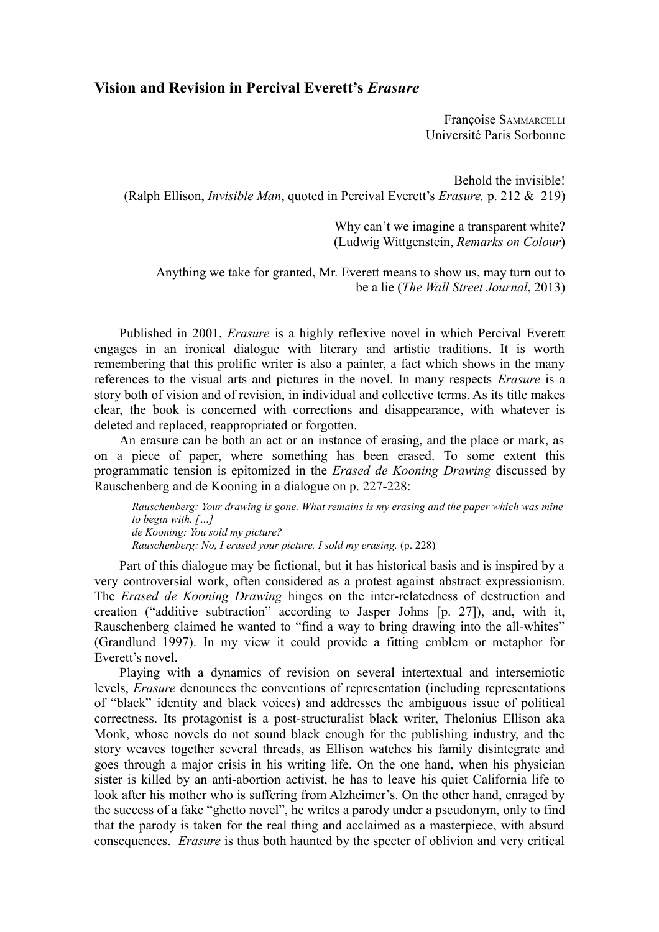# **Vision and Revision in Percival Everett's** *Erasure*

Françoise SAMMARCELLI Université Paris Sorbonne

Behold the invisible! (Ralph Ellison, *Invisible Man*, quoted in Percival Everett's *Erasure,* p. 212 & 219)

> Why can't we imagine a transparent white? (Ludwig Wittgenstein, *Remarks on Colour*)

Anything we take for granted, Mr. Everett means to show us, may turn out to be a lie (*The Wall Street Journal*, 2013)

Published in 2001, *Erasure* is a highly reflexive novel in which Percival Everett engages in an ironical dialogue with literary and artistic traditions. It is worth remembering that this prolific writer is also a painter, a fact which shows in the many references to the visual arts and pictures in the novel. In many respects *Erasure* is a story both of vision and of revision, in individual and collective terms. As its title makes clear, the book is concerned with corrections and disappearance, with whatever is deleted and replaced, reappropriated or forgotten.

An erasure can be both an act or an instance of erasing, and the place or mark, as on a piece of paper, where something has been erased. To some extent this programmatic tension is epitomized in the *Erased de Kooning Drawing* discussed by Rauschenberg and de Kooning in a dialogue on p. 227-228:

*Rauschenberg: Your drawing is gone. What remains is my erasing and the paper which was mine to begin with. […] de Kooning: You sold my picture? Rauschenberg: No, I erased your picture. I sold my erasing.* (p. 228)

Part of this dialogue may be fictional, but it has historical basis and is inspired by a very controversial work, often considered as a protest against abstract expressionism. The *Erased de Kooning Drawing* hinges on the inter-relatedness of destruction and creation ("additive subtraction" according to Jasper Johns [p. 27]), and, with it, Rauschenberg claimed he wanted to "find a way to bring drawing into the all-whites" (Grandlund 1997). In my view it could provide a fitting emblem or metaphor for Everett's novel.

Playing with a dynamics of revision on several intertextual and intersemiotic levels, *Erasure* denounces the conventions of representation (including representations of "black" identity and black voices) and addresses the ambiguous issue of political correctness. Its protagonist is a post-structuralist black writer, Thelonius Ellison aka Monk, whose novels do not sound black enough for the publishing industry, and the story weaves together several threads, as Ellison watches his family disintegrate and goes through a major crisis in his writing life. On the one hand, when his physician sister is killed by an anti-abortion activist, he has to leave his quiet California life to look after his mother who is suffering from Alzheimer's. On the other hand, enraged by the success of a fake "ghetto novel", he writes a parody under a pseudonym, only to find that the parody is taken for the real thing and acclaimed as a masterpiece, with absurd consequences. *Erasure* is thus both haunted by the specter of oblivion and very critical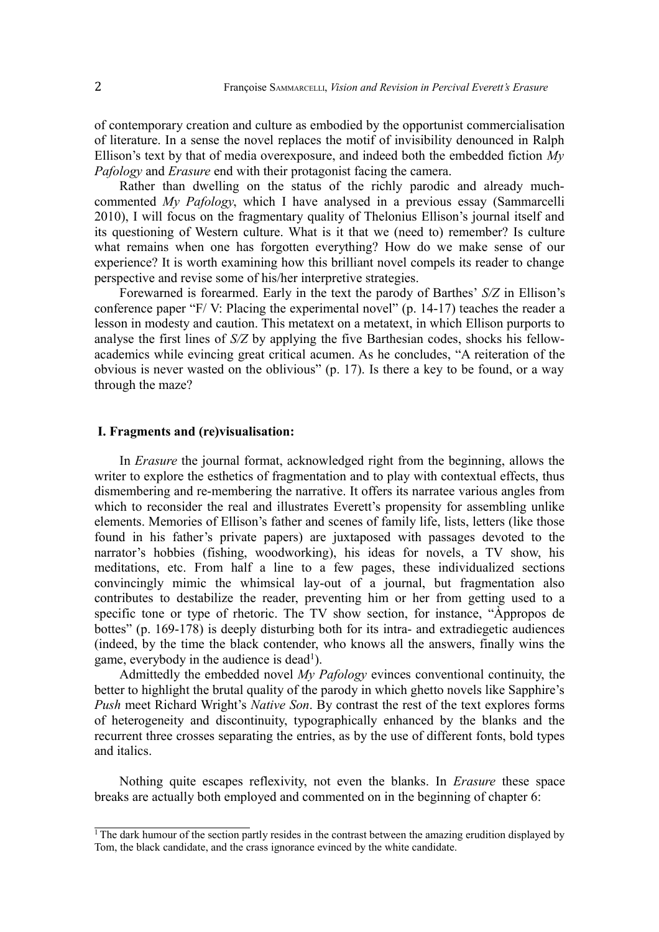of contemporary creation and culture as embodied by the opportunist commercialisation of literature. In a sense the novel replaces the motif of invisibility denounced in Ralph Ellison's text by that of media overexposure, and indeed both the embedded fiction *My Pafology* and *Erasure* end with their protagonist facing the camera.

Rather than dwelling on the status of the richly parodic and already muchcommented *My Pafology*, which I have analysed in a previous essay (Sammarcelli 2010), I will focus on the fragmentary quality of Thelonius Ellison's journal itself and its questioning of Western culture. What is it that we (need to) remember? Is culture what remains when one has forgotten everything? How do we make sense of our experience? It is worth examining how this brilliant novel compels its reader to change perspective and revise some of his/her interpretive strategies.

Forewarned is forearmed. Early in the text the parody of Barthes' *S/Z* in Ellison's conference paper "F/ V: Placing the experimental novel" (p. 14-17) teaches the reader a lesson in modesty and caution. This metatext on a metatext, in which Ellison purports to analyse the first lines of *S/Z* by applying the five Barthesian codes, shocks his fellowacademics while evincing great critical acumen. As he concludes, "A reiteration of the obvious is never wasted on the oblivious" (p. 17). Is there a key to be found, or a way through the maze?

## **I. Fragments and (re)visualisation:**

In *Erasure* the journal format, acknowledged right from the beginning, allows the writer to explore the esthetics of fragmentation and to play with contextual effects, thus dismembering and re-membering the narrative. It offers its narratee various angles from which to reconsider the real and illustrates Everett's propensity for assembling unlike elements. Memories of Ellison's father and scenes of family life, lists, letters (like those found in his father's private papers) are juxtaposed with passages devoted to the narrator's hobbies (fishing, woodworking), his ideas for novels, a TV show, his meditations, etc. From half a line to a few pages, these individualized sections convincingly mimic the whimsical lay-out of a journal, but fragmentation also contributes to destabilize the reader, preventing him or her from getting used to a specific tone or type of rhetoric. The TV show section, for instance, "Àppropos de bottes" (p. 169-178) is deeply disturbing both for its intra- and extradiegetic audiences (indeed, by the time the black contender, who knows all the answers, finally wins the game, everybody in the audience is dead<sup>[1](#page-1-0)</sup>).

Admittedly the embedded novel *My Pafology* evinces conventional continuity, the better to highlight the brutal quality of the parody in which ghetto novels like Sapphire's *Push* meet Richard Wright's *Native Son*. By contrast the rest of the text explores forms of heterogeneity and discontinuity, typographically enhanced by the blanks and the recurrent three crosses separating the entries, as by the use of different fonts, bold types and italics.

Nothing quite escapes reflexivity, not even the blanks. In *Erasure* these space breaks are actually both employed and commented on in the beginning of chapter 6:

<span id="page-1-0"></span> $\frac{1}{1}$ The dark humour of the section partly resides in the contrast between the amazing erudition displayed by Tom, the black candidate, and the crass ignorance evinced by the white candidate.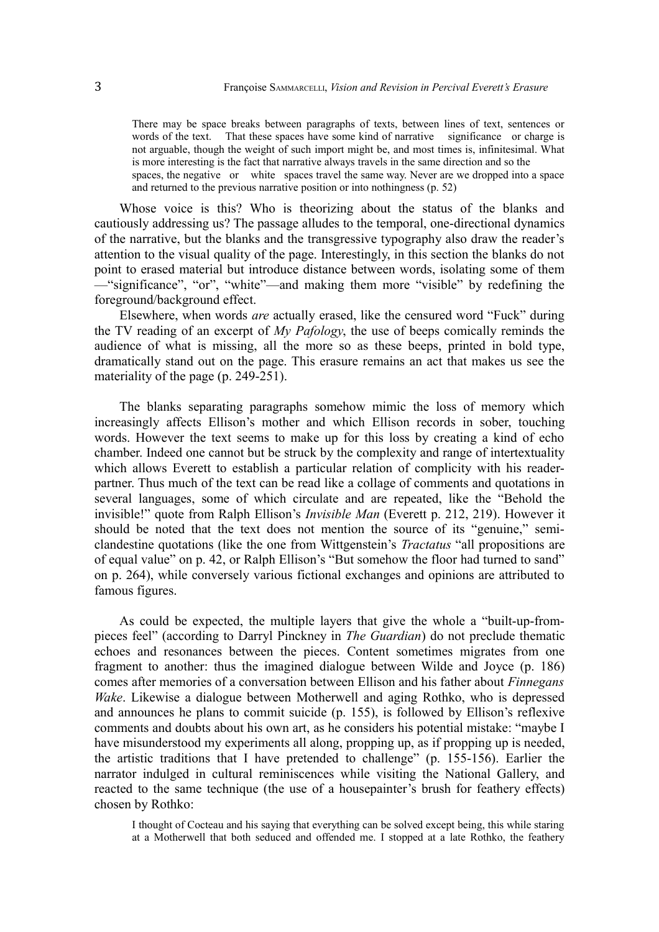There may be space breaks between paragraphs of texts, between lines of text, sentences or words of the text. That these spaces have some kind of narrative significance or charge is not arguable, though the weight of such import might be, and most times is, infinitesimal. What is more interesting is the fact that narrative always travels in the same direction and so the spaces, the negative or white spaces travel the same way. Never are we dropped into a space and returned to the previous narrative position or into nothingness (p. 52)

Whose voice is this? Who is theorizing about the status of the blanks and cautiously addressing us? The passage alludes to the temporal, one-directional dynamics of the narrative, but the blanks and the transgressive typography also draw the reader's attention to the visual quality of the page. Interestingly, in this section the blanks do not point to erased material but introduce distance between words, isolating some of them —"significance", "or", "white"—and making them more "visible" by redefining the foreground/background effect.

Elsewhere, when words *are* actually erased, like the censured word "Fuck" during the TV reading of an excerpt of *My Pafology*, the use of beeps comically reminds the audience of what is missing, all the more so as these beeps, printed in bold type, dramatically stand out on the page. This erasure remains an act that makes us see the materiality of the page (p. 249-251).

The blanks separating paragraphs somehow mimic the loss of memory which increasingly affects Ellison's mother and which Ellison records in sober, touching words. However the text seems to make up for this loss by creating a kind of echo chamber. Indeed one cannot but be struck by the complexity and range of intertextuality which allows Everett to establish a particular relation of complicity with his readerpartner. Thus much of the text can be read like a collage of comments and quotations in several languages, some of which circulate and are repeated, like the "Behold the invisible!" quote from Ralph Ellison's *Invisible Man* (Everett p. 212, 219). However it should be noted that the text does not mention the source of its "genuine," semiclandestine quotations (like the one from Wittgenstein's *Tractatus* "all propositions are of equal value" on p. 42, or Ralph Ellison's "But somehow the floor had turned to sand" on p. 264), while conversely various fictional exchanges and opinions are attributed to famous figures.

As could be expected, the multiple layers that give the whole a "built-up-frompieces feel" (according to Darryl Pinckney in *The Guardian*) do not preclude thematic echoes and resonances between the pieces. Content sometimes migrates from one fragment to another: thus the imagined dialogue between Wilde and Joyce (p. 186) comes after memories of a conversation between Ellison and his father about *Finnegans Wake*. Likewise a dialogue between Motherwell and aging Rothko, who is depressed and announces he plans to commit suicide (p. 155), is followed by Ellison's reflexive comments and doubts about his own art, as he considers his potential mistake: "maybe I have misunderstood my experiments all along, propping up, as if propping up is needed, the artistic traditions that I have pretended to challenge" (p. 155-156). Earlier the narrator indulged in cultural reminiscences while visiting the National Gallery, and reacted to the same technique (the use of a housepainter's brush for feathery effects) chosen by Rothko:

I thought of Cocteau and his saying that everything can be solved except being, this while staring at a Motherwell that both seduced and offended me. I stopped at a late Rothko, the feathery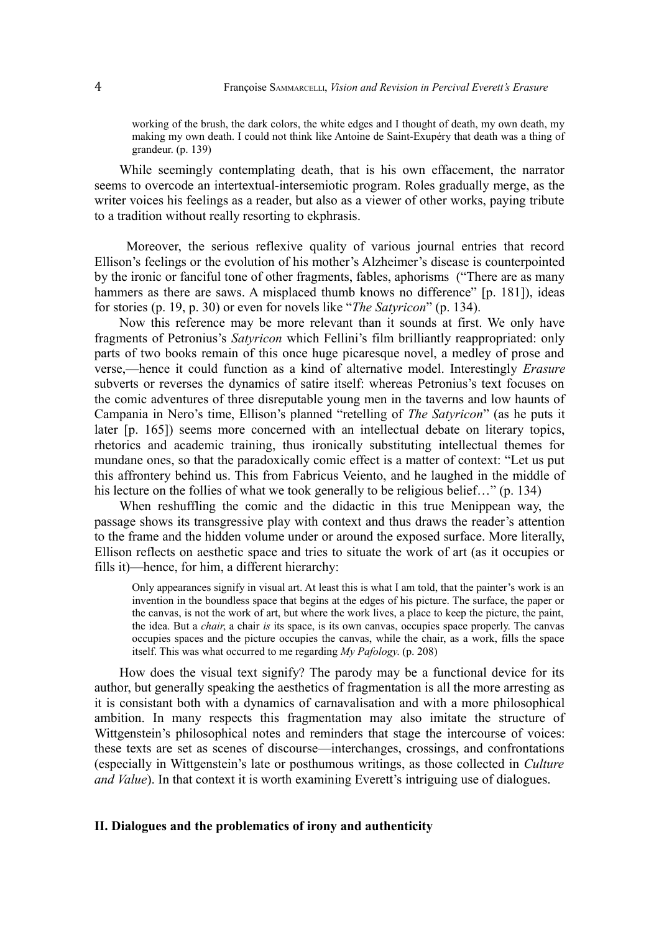working of the brush, the dark colors, the white edges and I thought of death, my own death, my making my own death. I could not think like Antoine de Saint-Exupéry that death was a thing of grandeur. (p. 139)

While seemingly contemplating death, that is his own effacement, the narrator seems to overcode an intertextual-intersemiotic program. Roles gradually merge, as the writer voices his feelings as a reader, but also as a viewer of other works, paying tribute to a tradition without really resorting to ekphrasis.

 Moreover, the serious reflexive quality of various journal entries that record Ellison's feelings or the evolution of his mother's Alzheimer's disease is counterpointed by the ironic or fanciful tone of other fragments, fables, aphorisms ("There are as many hammers as there are saws. A misplaced thumb knows no difference" [p. 181]), ideas for stories (p. 19, p. 30) or even for novels like "*The Satyricon*" (p. 134).

Now this reference may be more relevant than it sounds at first. We only have fragments of Petronius's *Satyricon* which Fellini's film brilliantly reappropriated: only parts of two books remain of this once huge picaresque novel, a medley of prose and verse,—hence it could function as a kind of alternative model. Interestingly *Erasure* subverts or reverses the dynamics of satire itself: whereas Petronius's text focuses on the comic adventures of three disreputable young men in the taverns and low haunts of Campania in Nero's time, Ellison's planned "retelling of *The Satyricon*" (as he puts it later [p. 165]) seems more concerned with an intellectual debate on literary topics, rhetorics and academic training, thus ironically substituting intellectual themes for mundane ones, so that the paradoxically comic effect is a matter of context: "Let us put this affrontery behind us. This from Fabricus Veiento, and he laughed in the middle of his lecture on the follies of what we took generally to be religious belief..." (p. 134)

When reshuffling the comic and the didactic in this true Menippean way, the passage shows its transgressive play with context and thus draws the reader's attention to the frame and the hidden volume under or around the exposed surface. More literally, Ellison reflects on aesthetic space and tries to situate the work of art (as it occupies or fills it)—hence, for him, a different hierarchy:

Only appearances signify in visual art. At least this is what I am told, that the painter's work is an invention in the boundless space that begins at the edges of his picture. The surface, the paper or the canvas, is not the work of art, but where the work lives, a place to keep the picture, the paint, the idea. But a *chair*, a chair *is* its space, is its own canvas, occupies space properly. The canvas occupies spaces and the picture occupies the canvas, while the chair, as a work, fills the space itself. This was what occurred to me regarding *My Pafology*. (p. 208)

How does the visual text signify? The parody may be a functional device for its author, but generally speaking the aesthetics of fragmentation is all the more arresting as it is consistant both with a dynamics of carnavalisation and with a more philosophical ambition. In many respects this fragmentation may also imitate the structure of Wittgenstein's philosophical notes and reminders that stage the intercourse of voices: these texts are set as scenes of discourse—interchanges, crossings, and confrontations (especially in Wittgenstein's late or posthumous writings, as those collected in *Culture and Value*). In that context it is worth examining Everett's intriguing use of dialogues.

### **II. Dialogues and the problematics of irony and authenticity**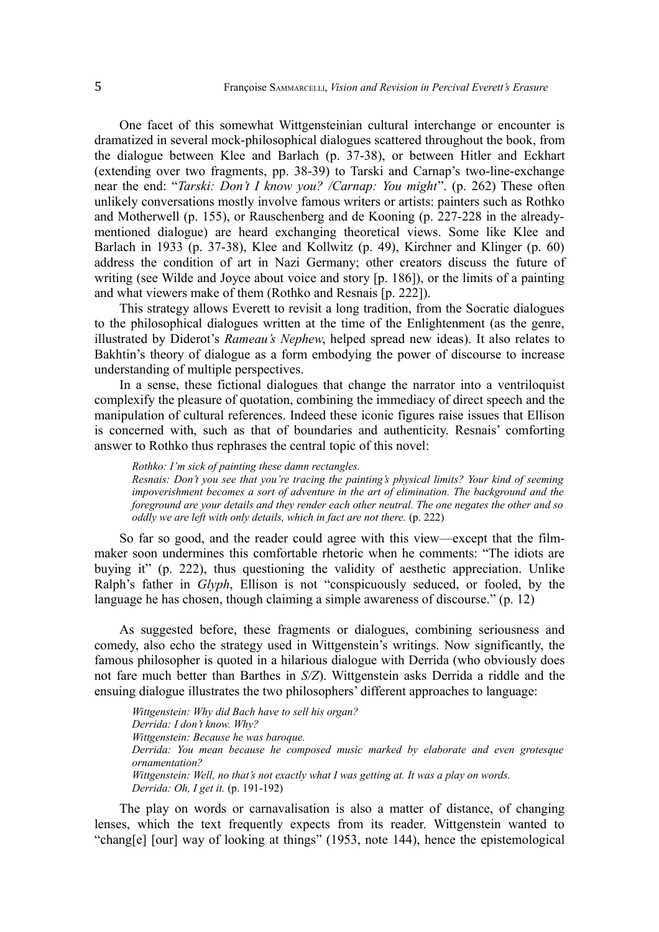One facet of this somewhat Wittgensteinian cultural interchange or encounter is dramatized in several mock-philosophical dialogues scattered throughout the book, from the dialogue between Klee and Barlach (p. 37-38), or between Hitler and Eckhart (extending over two fragments, pp. 38-39) to Tarski and Carnap's two-line-exchange near the end: "*Tarski: Don't I know you? /Carnap: You might*". (p. 262) These often unlikely conversations mostly involve famous writers or artists: painters such as Rothko and Motherwell (p. 155), or Rauschenberg and de Kooning (p. 227-228 in the alreadymentioned dialogue) are heard exchanging theoretical views. Some like Klee and Barlach in 1933 (p. 37-38), Klee and Kollwitz (p. 49), Kirchner and Klinger (p. 60) address the condition of art in Nazi Germany; other creators discuss the future of writing (see Wilde and Joyce about voice and story [p. 186]), or the limits of a painting and what viewers make of them (Rothko and Resnais [p. 222]).

This strategy allows Everett to revisit a long tradition, from the Socratic dialogues to the philosophical dialogues written at the time of the Enlightenment (as the genre, illustrated by Diderot's *Rameau's Nephew*, helped spread new ideas). It also relates to Bakhtin's theory of dialogue as a form embodying the power of discourse to increase understanding of multiple perspectives.

In a sense, these fictional dialogues that change the narrator into a ventriloquist complexify the pleasure of quotation, combining the immediacy of direct speech and the manipulation of cultural references. Indeed these iconic figures raise issues that Ellison is concerned with, such as that of boundaries and authenticity. Resnais' comforting answer to Rothko thus rephrases the central topic of this novel:

*Rothko: I'm sick of painting these damn rectangles.*

*Resnais: Don't you see that you're tracing the painting's physical limits? Your kind of seeming impoverishment becomes a sort of adventure in the art of elimination. The background and the foreground are your details and they render each other neutral. The one negates the other and so oddly we are left with only details, which in fact are not there.* (p. 222)

So far so good, and the reader could agree with this view—except that the filmmaker soon undermines this comfortable rhetoric when he comments: "The idiots are buying it" (p. 222), thus questioning the validity of aesthetic appreciation. Unlike Ralph's father in *Glyph*, Ellison is not "conspicuously seduced, or fooled, by the language he has chosen, though claiming a simple awareness of discourse." (p. 12)

As suggested before, these fragments or dialogues, combining seriousness and comedy, also echo the strategy used in Wittgenstein's writings. Now significantly, the famous philosopher is quoted in a hilarious dialogue with Derrida (who obviously does not fare much better than Barthes in *S/Z*). Wittgenstein asks Derrida a riddle and the ensuing dialogue illustrates the two philosophers' different approaches to language:

*Wittgenstein: Why did Bach have to sell his organ? Derrida: I don't know. Why? Wittgenstein: Because he was baroque. Derrida: You mean because he composed music marked by elaborate and even grotesque ornamentation? Wittgenstein: Well, no that's not exactly what I was getting at. It was a play on words. Derrida: Oh, I get it.* (p. 191-192)

The play on words or carnavalisation is also a matter of distance, of changing lenses, which the text frequently expects from its reader. Wittgenstein wanted to "chang[e] [our] way of looking at things" (1953, note 144), hence the epistemological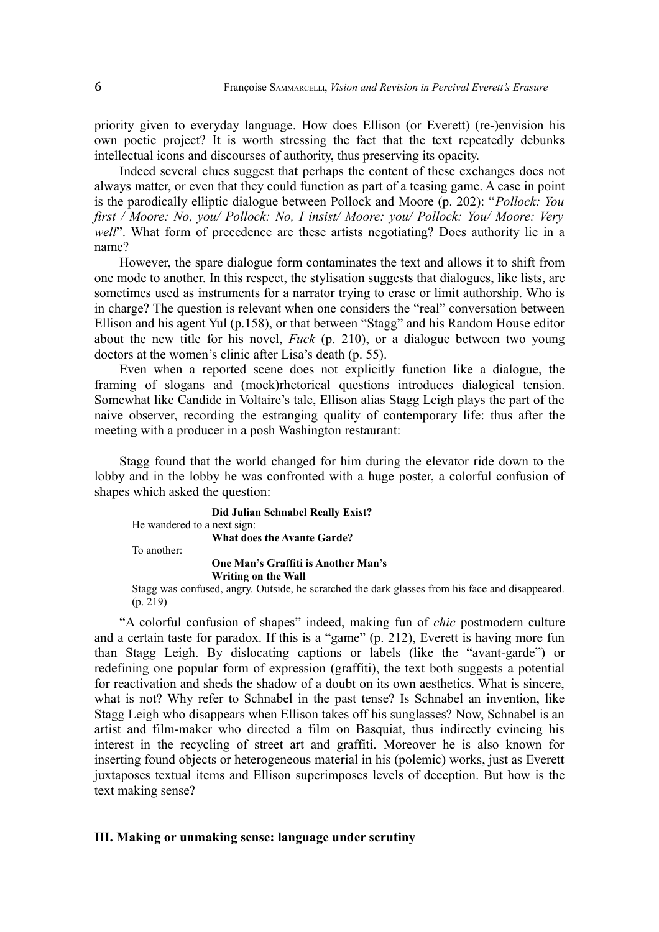priority given to everyday language. How does Ellison (or Everett) (re-)envision his own poetic project? It is worth stressing the fact that the text repeatedly debunks intellectual icons and discourses of authority, thus preserving its opacity.

Indeed several clues suggest that perhaps the content of these exchanges does not always matter, or even that they could function as part of a teasing game. A case in point is the parodically elliptic dialogue between Pollock and Moore (p. 202): "*Pollock: You first / Moore: No, you/ Pollock: No, I insist/ Moore: you/ Pollock: You/ Moore: Very well*". What form of precedence are these artists negotiating? Does authority lie in a name?

However, the spare dialogue form contaminates the text and allows it to shift from one mode to another. In this respect, the stylisation suggests that dialogues, like lists, are sometimes used as instruments for a narrator trying to erase or limit authorship. Who is in charge? The question is relevant when one considers the "real" conversation between Ellison and his agent Yul (p.158), or that between "Stagg" and his Random House editor about the new title for his novel, *Fuck* (p. 210), or a dialogue between two young doctors at the women's clinic after Lisa's death (p. 55).

Even when a reported scene does not explicitly function like a dialogue, the framing of slogans and (mock)rhetorical questions introduces dialogical tension. Somewhat like Candide in Voltaire's tale, Ellison alias Stagg Leigh plays the part of the naive observer, recording the estranging quality of contemporary life: thus after the meeting with a producer in a posh Washington restaurant:

Stagg found that the world changed for him during the elevator ride down to the lobby and in the lobby he was confronted with a huge poster, a colorful confusion of shapes which asked the question:

**Did Julian Schnabel Really Exist?** He wandered to a next sign: **What does the Avante Garde?** To another: **One Man's Graffiti is Another Man's Writing on the Wall**

Stagg was confused, angry. Outside, he scratched the dark glasses from his face and disappeared.  $(p. 219)$ 

"A colorful confusion of shapes" indeed, making fun of *chic* postmodern culture and a certain taste for paradox. If this is a "game" (p. 212), Everett is having more fun than Stagg Leigh. By dislocating captions or labels (like the "avant-garde") or redefining one popular form of expression (graffiti), the text both suggests a potential for reactivation and sheds the shadow of a doubt on its own aesthetics. What is sincere, what is not? Why refer to Schnabel in the past tense? Is Schnabel an invention, like Stagg Leigh who disappears when Ellison takes off his sunglasses? Now, Schnabel is an artist and film-maker who directed a film on Basquiat, thus indirectly evincing his interest in the recycling of street art and graffiti. Moreover he is also known for inserting found objects or heterogeneous material in his (polemic) works, just as Everett juxtaposes textual items and Ellison superimposes levels of deception. But how is the text making sense?

## **III. Making or unmaking sense: language under scrutiny**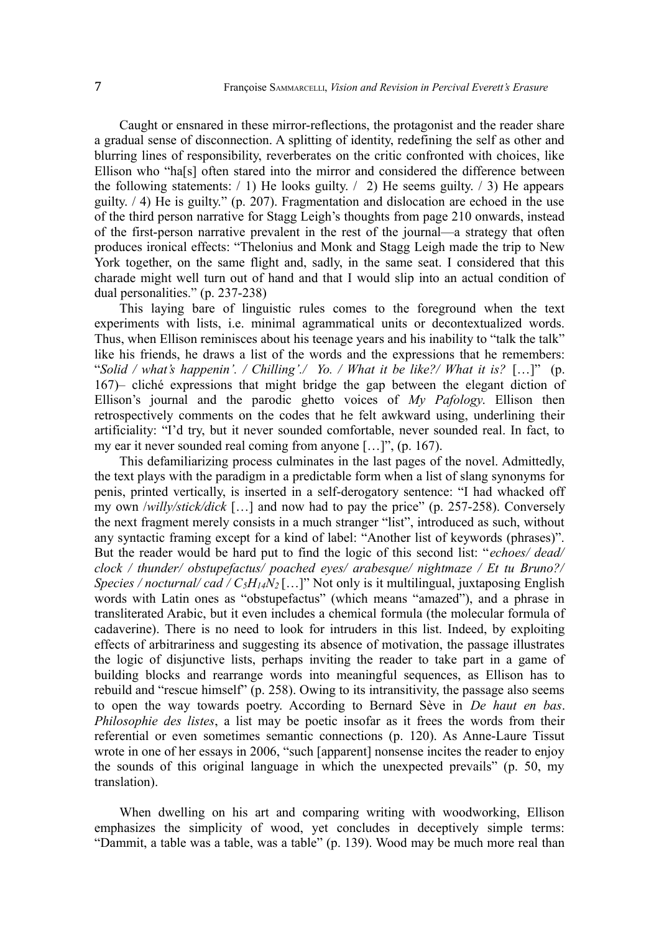Caught or ensnared in these mirror-reflections, the protagonist and the reader share a gradual sense of disconnection. A splitting of identity, redefining the self as other and blurring lines of responsibility, reverberates on the critic confronted with choices, like Ellison who "ha[s] often stared into the mirror and considered the difference between the following statements:  $/ 1$ ) He looks guilty.  $/ 2$ ) He seems guilty.  $/ 3$ ) He appears guilty. / 4) He is guilty." (p. 207). Fragmentation and dislocation are echoed in the use of the third person narrative for Stagg Leigh's thoughts from page 210 onwards, instead of the first-person narrative prevalent in the rest of the journal—a strategy that often produces ironical effects: "Thelonius and Monk and Stagg Leigh made the trip to New York together, on the same flight and, sadly, in the same seat. I considered that this charade might well turn out of hand and that I would slip into an actual condition of dual personalities." (p. 237-238)

This laying bare of linguistic rules comes to the foreground when the text experiments with lists, i.e. minimal agrammatical units or decontextualized words. Thus, when Ellison reminisces about his teenage years and his inability to "talk the talk" like his friends, he draws a list of the words and the expressions that he remembers: "*Solid / what's happenin'. / Chilling'./ Yo. / What it be like?/ What it is?* […]" (p. 167)– cliché expressions that might bridge the gap between the elegant diction of Ellison's journal and the parodic ghetto voices of *My Pafology*. Ellison then retrospectively comments on the codes that he felt awkward using, underlining their artificiality: "I'd try, but it never sounded comfortable, never sounded real. In fact, to my ear it never sounded real coming from anyone […]", (p. 167).

This defamiliarizing process culminates in the last pages of the novel. Admittedly, the text plays with the paradigm in a predictable form when a list of slang synonyms for penis, printed vertically, is inserted in a self-derogatory sentence: "I had whacked off my own /*willy/stick/dick* […] and now had to pay the price" (p. 257-258). Conversely the next fragment merely consists in a much stranger "list", introduced as such, without any syntactic framing except for a kind of label: "Another list of keywords (phrases)". But the reader would be hard put to find the logic of this second list: "*echoes/ dead/ clock / thunder/ obstupefactus/ poached eyes/ arabesque/ nightmaze / Et tu Bruno?/ Species / nocturnal/ cad / C5H14N<sup>2</sup>* […]" Not only is it multilingual, juxtaposing English words with Latin ones as "obstupefactus" (which means "amazed"), and a phrase in transliterated Arabic, but it even includes a chemical formula (the molecular formula of cadaverine). There is no need to look for intruders in this list. Indeed, by exploiting effects of arbitrariness and suggesting its absence of motivation, the passage illustrates the logic of disjunctive lists, perhaps inviting the reader to take part in a game of building blocks and rearrange words into meaningful sequences, as Ellison has to rebuild and "rescue himself" (p. 258). Owing to its intransitivity, the passage also seems to open the way towards poetry. According to Bernard Sève in *De haut en bas*. *Philosophie des listes*, a list may be poetic insofar as it frees the words from their referential or even sometimes semantic connections (p. 120). As Anne-Laure Tissut wrote in one of her essays in 2006, "such [apparent] nonsense incites the reader to enjoy the sounds of this original language in which the unexpected prevails" (p. 50, my translation).

When dwelling on his art and comparing writing with woodworking, Ellison emphasizes the simplicity of wood, yet concludes in deceptively simple terms: "Dammit, a table was a table, was a table" (p. 139). Wood may be much more real than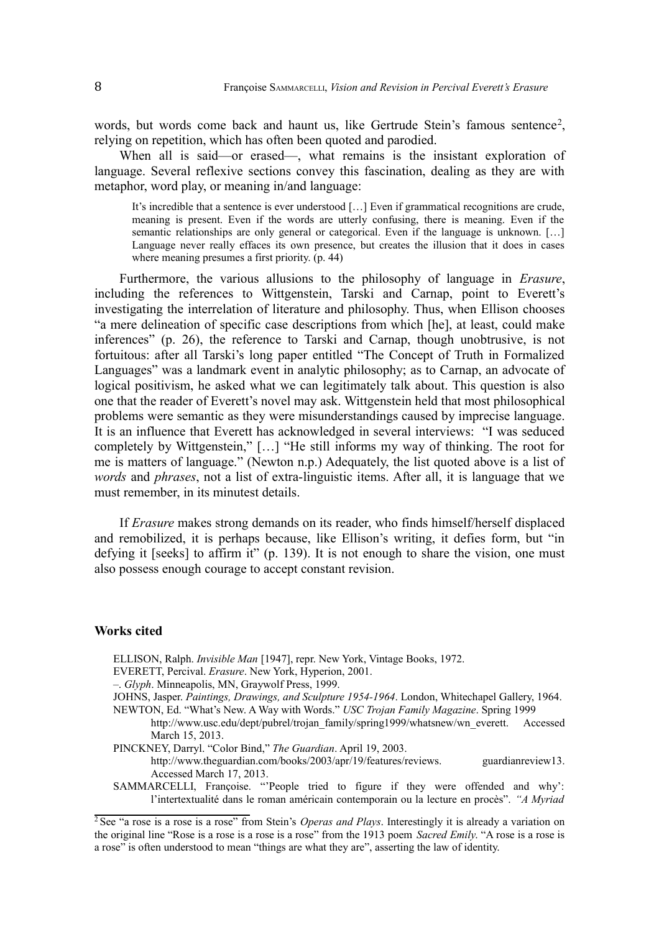words, but words come back and haunt us, like Gertrude Stein's famous sentence<sup>[2](#page-7-0)</sup>, relying on repetition, which has often been quoted and parodied.

When all is said—or erased—, what remains is the insistant exploration of language. Several reflexive sections convey this fascination, dealing as they are with metaphor, word play, or meaning in/and language:

It's incredible that a sentence is ever understood […] Even if grammatical recognitions are crude, meaning is present. Even if the words are utterly confusing, there is meaning. Even if the semantic relationships are only general or categorical. Even if the language is unknown. [...] Language never really effaces its own presence, but creates the illusion that it does in cases where meaning presumes a first priority. (p. 44)

Furthermore, the various allusions to the philosophy of language in *Erasure*, including the references to Wittgenstein, Tarski and Carnap, point to Everett's investigating the interrelation of literature and philosophy. Thus, when Ellison chooses "a mere delineation of specific case descriptions from which [he], at least, could make inferences" (p. 26), the reference to Tarski and Carnap, though unobtrusive, is not fortuitous: after all Tarski's long paper entitled "The Concept of Truth in Formalized Languages" was a landmark event in analytic philosophy; as to Carnap, an advocate of logical positivism, he asked what we can legitimately talk about. This question is also one that the reader of Everett's novel may ask. Wittgenstein held that most philosophical problems were semantic as they were misunderstandings caused by imprecise language. It is an influence that Everett has acknowledged in several interviews: "I was seduced completely by Wittgenstein," […] "He still informs my way of thinking. The root for me is matters of language." (Newton n.p.) Adequately, the list quoted above is a list of *words* and *phrases*, not a list of extra-linguistic items. After all, it is language that we must remember, in its minutest details.

If *Erasure* makes strong demands on its reader, who finds himself/herself displaced and remobilized, it is perhaps because, like Ellison's writing, it defies form, but "in defying it [seeks] to affirm it" (p. 139). It is not enough to share the vision, one must also possess enough courage to accept constant revision.

#### **Works cited**

- ELLISON, Ralph. *Invisible Man* [1947], repr. New York, Vintage Books, 1972.
- EVERETT, Percival. *Erasure*. New York, Hyperion, 2001.
- –. *Glyph*. Minneapolis, MN, Graywolf Press, 1999.
- JOHNS, Jasper. *Paintings, Drawings, and Sculpture 1954-1964*. London, Whitechapel Gallery, 1964. NEWTON, Ed. "What's New. A Way with Words." *USC Trojan Family Magazine*. Spring 1999
	- http://www.usc.edu/dept/pubrel/trojan\_family/spring1999/whatsnew/wn\_everett. Accessed March 15, 2013.
- PINCKNEY, Darryl. "Color Bind," *The Guardian*. April 19, 2003.

http://www.theguardian.com/books/2003/apr/19/features/reviews. guardianreview13. Accessed March 17, 2013.

SAMMARCELLI, Françoise. "'People tried to figure if they were offended and why': l'intertextualité dans le roman américain contemporain ou la lecture en procès". *"A Myriad*

<span id="page-7-0"></span><sup>&</sup>lt;sup>2</sup>See "a rose is a rose is a rose" from Stein's *Operas and Plays*. Interestingly it is already a variation on the original line "Rose is a rose is a rose is a rose" from the 1913 poem *Sacred Emily*. "A rose is a rose is a rose" is often understood to mean "things are what they are", asserting the law of identity.